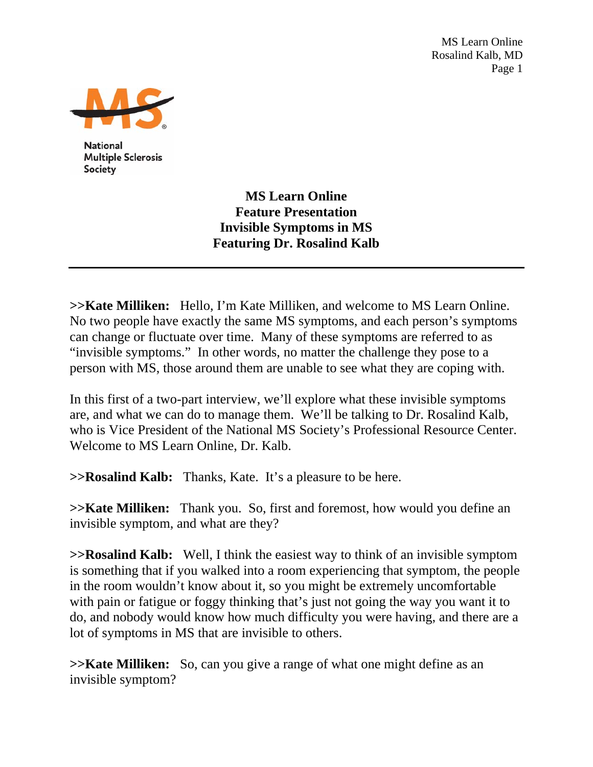MS Learn Online Rosalind Kalb, MD Page 1



**National Multiple Sclerosis** Society

> **MS Learn Online Feature Presentation Invisible Symptoms in MS Featuring Dr. Rosalind Kalb**

**>>Kate Milliken:** Hello, I'm Kate Milliken, and welcome to MS Learn Online. No two people have exactly the same MS symptoms, and each person's symptoms can change or fluctuate over time. Many of these symptoms are referred to as "invisible symptoms." In other words, no matter the challenge they pose to a person with MS, those around them are unable to see what they are coping with.

In this first of a two-part interview, we'll explore what these invisible symptoms are, and what we can do to manage them. We'll be talking to Dr. Rosalind Kalb, who is Vice President of the National MS Society's Professional Resource Center. Welcome to MS Learn Online, Dr. Kalb.

**>>Rosalind Kalb:** Thanks, Kate. It's a pleasure to be here.

**>>Kate Milliken:** Thank you. So, first and foremost, how would you define an invisible symptom, and what are they?

**>>Rosalind Kalb:** Well, I think the easiest way to think of an invisible symptom is something that if you walked into a room experiencing that symptom, the people in the room wouldn't know about it, so you might be extremely uncomfortable with pain or fatigue or foggy thinking that's just not going the way you want it to do, and nobody would know how much difficulty you were having, and there are a lot of symptoms in MS that are invisible to others.

**>>Kate Milliken:** So, can you give a range of what one might define as an invisible symptom?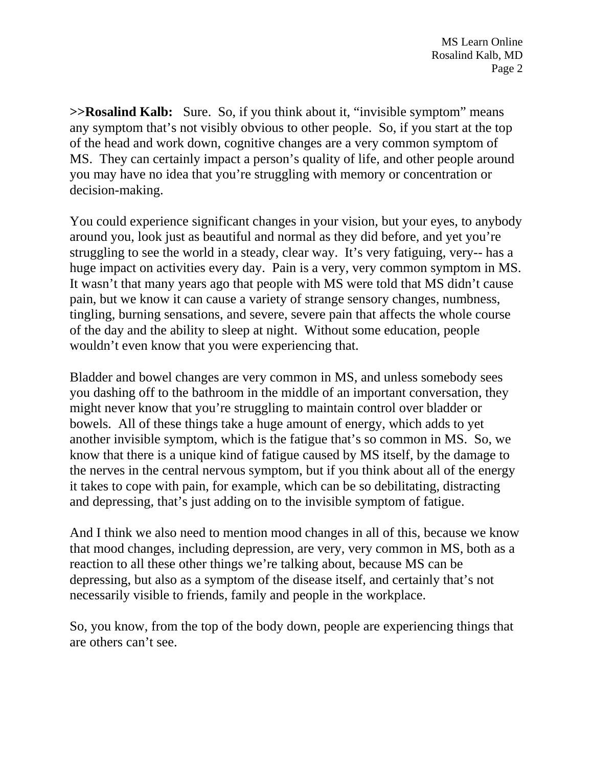**>>Rosalind Kalb:** Sure. So, if you think about it, "invisible symptom" means any symptom that's not visibly obvious to other people. So, if you start at the top of the head and work down, cognitive changes are a very common symptom of MS. They can certainly impact a person's quality of life, and other people around you may have no idea that you're struggling with memory or concentration or decision-making.

You could experience significant changes in your vision, but your eyes, to anybody around you, look just as beautiful and normal as they did before, and yet you're struggling to see the world in a steady, clear way. It's very fatiguing, very-- has a huge impact on activities every day. Pain is a very, very common symptom in MS. It wasn't that many years ago that people with MS were told that MS didn't cause pain, but we know it can cause a variety of strange sensory changes, numbness, tingling, burning sensations, and severe, severe pain that affects the whole course of the day and the ability to sleep at night. Without some education, people wouldn't even know that you were experiencing that.

Bladder and bowel changes are very common in MS, and unless somebody sees you dashing off to the bathroom in the middle of an important conversation, they might never know that you're struggling to maintain control over bladder or bowels. All of these things take a huge amount of energy, which adds to yet another invisible symptom, which is the fatigue that's so common in MS. So, we know that there is a unique kind of fatigue caused by MS itself, by the damage to the nerves in the central nervous symptom, but if you think about all of the energy it takes to cope with pain, for example, which can be so debilitating, distracting and depressing, that's just adding on to the invisible symptom of fatigue.

And I think we also need to mention mood changes in all of this, because we know that mood changes, including depression, are very, very common in MS, both as a reaction to all these other things we're talking about, because MS can be depressing, but also as a symptom of the disease itself, and certainly that's not necessarily visible to friends, family and people in the workplace.

So, you know, from the top of the body down, people are experiencing things that are others can't see.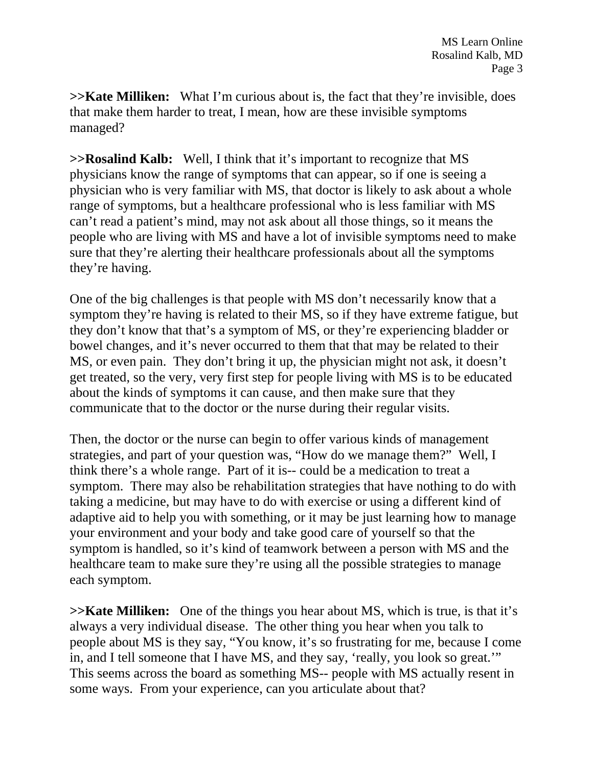**>>Kate Milliken:** What I'm curious about is, the fact that they're invisible, does that make them harder to treat, I mean, how are these invisible symptoms managed?

**>>Rosalind Kalb:** Well, I think that it's important to recognize that MS physicians know the range of symptoms that can appear, so if one is seeing a physician who is very familiar with MS, that doctor is likely to ask about a whole range of symptoms, but a healthcare professional who is less familiar with MS can't read a patient's mind, may not ask about all those things, so it means the people who are living with MS and have a lot of invisible symptoms need to make sure that they're alerting their healthcare professionals about all the symptoms they're having.

One of the big challenges is that people with MS don't necessarily know that a symptom they're having is related to their MS, so if they have extreme fatigue, but they don't know that that's a symptom of MS, or they're experiencing bladder or bowel changes, and it's never occurred to them that that may be related to their MS, or even pain. They don't bring it up, the physician might not ask, it doesn't get treated, so the very, very first step for people living with MS is to be educated about the kinds of symptoms it can cause, and then make sure that they communicate that to the doctor or the nurse during their regular visits.

Then, the doctor or the nurse can begin to offer various kinds of management strategies, and part of your question was, "How do we manage them?" Well, I think there's a whole range. Part of it is-- could be a medication to treat a symptom. There may also be rehabilitation strategies that have nothing to do with taking a medicine, but may have to do with exercise or using a different kind of adaptive aid to help you with something, or it may be just learning how to manage your environment and your body and take good care of yourself so that the symptom is handled, so it's kind of teamwork between a person with MS and the healthcare team to make sure they're using all the possible strategies to manage each symptom.

**>>Kate Milliken:** One of the things you hear about MS, which is true, is that it's always a very individual disease. The other thing you hear when you talk to people about MS is they say, "You know, it's so frustrating for me, because I come in, and I tell someone that I have MS, and they say, 'really, you look so great.'" This seems across the board as something MS-- people with MS actually resent in some ways. From your experience, can you articulate about that?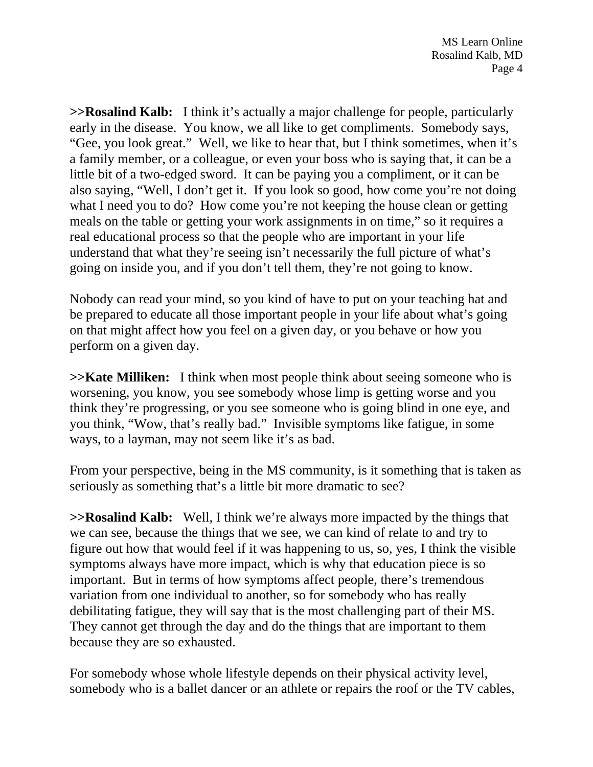**>>Rosalind Kalb:** I think it's actually a major challenge for people, particularly early in the disease. You know, we all like to get compliments. Somebody says, "Gee, you look great." Well, we like to hear that, but I think sometimes, when it's a family member, or a colleague, or even your boss who is saying that, it can be a little bit of a two-edged sword. It can be paying you a compliment, or it can be also saying, "Well, I don't get it. If you look so good, how come you're not doing what I need you to do? How come you're not keeping the house clean or getting meals on the table or getting your work assignments in on time," so it requires a real educational process so that the people who are important in your life understand that what they're seeing isn't necessarily the full picture of what's going on inside you, and if you don't tell them, they're not going to know.

Nobody can read your mind, so you kind of have to put on your teaching hat and be prepared to educate all those important people in your life about what's going on that might affect how you feel on a given day, or you behave or how you perform on a given day.

**>>Kate Milliken:** I think when most people think about seeing someone who is worsening, you know, you see somebody whose limp is getting worse and you think they're progressing, or you see someone who is going blind in one eye, and you think, "Wow, that's really bad." Invisible symptoms like fatigue, in some ways, to a layman, may not seem like it's as bad.

From your perspective, being in the MS community, is it something that is taken as seriously as something that's a little bit more dramatic to see?

**>>Rosalind Kalb:** Well, I think we're always more impacted by the things that we can see, because the things that we see, we can kind of relate to and try to figure out how that would feel if it was happening to us, so, yes, I think the visible symptoms always have more impact, which is why that education piece is so important. But in terms of how symptoms affect people, there's tremendous variation from one individual to another, so for somebody who has really debilitating fatigue, they will say that is the most challenging part of their MS. They cannot get through the day and do the things that are important to them because they are so exhausted.

For somebody whose whole lifestyle depends on their physical activity level, somebody who is a ballet dancer or an athlete or repairs the roof or the TV cables,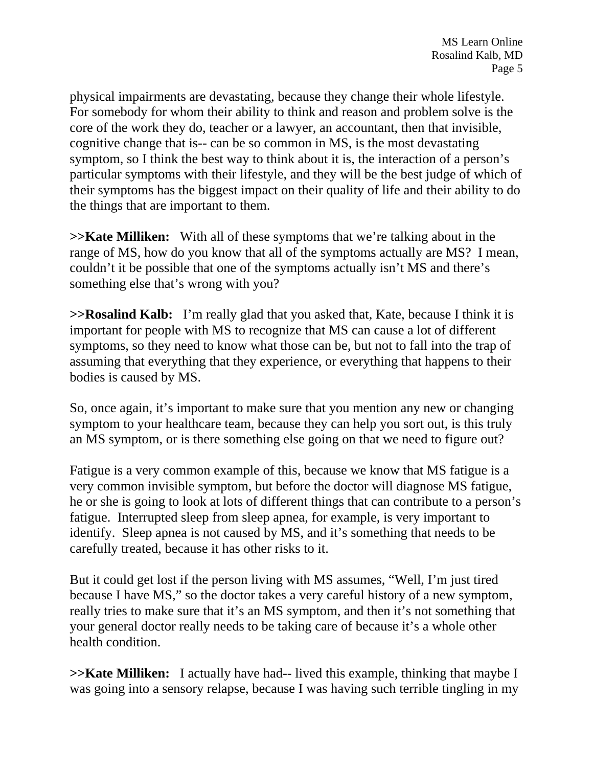physical impairments are devastating, because they change their whole lifestyle. For somebody for whom their ability to think and reason and problem solve is the core of the work they do, teacher or a lawyer, an accountant, then that invisible, cognitive change that is-- can be so common in MS, is the most devastating symptom, so I think the best way to think about it is, the interaction of a person's particular symptoms with their lifestyle, and they will be the best judge of which of their symptoms has the biggest impact on their quality of life and their ability to do the things that are important to them.

**>>Kate Milliken:** With all of these symptoms that we're talking about in the range of MS, how do you know that all of the symptoms actually are MS? I mean, couldn't it be possible that one of the symptoms actually isn't MS and there's something else that's wrong with you?

**>>Rosalind Kalb:** I'm really glad that you asked that, Kate, because I think it is important for people with MS to recognize that MS can cause a lot of different symptoms, so they need to know what those can be, but not to fall into the trap of assuming that everything that they experience, or everything that happens to their bodies is caused by MS.

So, once again, it's important to make sure that you mention any new or changing symptom to your healthcare team, because they can help you sort out, is this truly an MS symptom, or is there something else going on that we need to figure out?

Fatigue is a very common example of this, because we know that MS fatigue is a very common invisible symptom, but before the doctor will diagnose MS fatigue, he or she is going to look at lots of different things that can contribute to a person's fatigue. Interrupted sleep from sleep apnea, for example, is very important to identify. Sleep apnea is not caused by MS, and it's something that needs to be carefully treated, because it has other risks to it.

But it could get lost if the person living with MS assumes, "Well, I'm just tired because I have MS," so the doctor takes a very careful history of a new symptom, really tries to make sure that it's an MS symptom, and then it's not something that your general doctor really needs to be taking care of because it's a whole other health condition.

**>>Kate Milliken:** I actually have had-- lived this example, thinking that maybe I was going into a sensory relapse, because I was having such terrible tingling in my